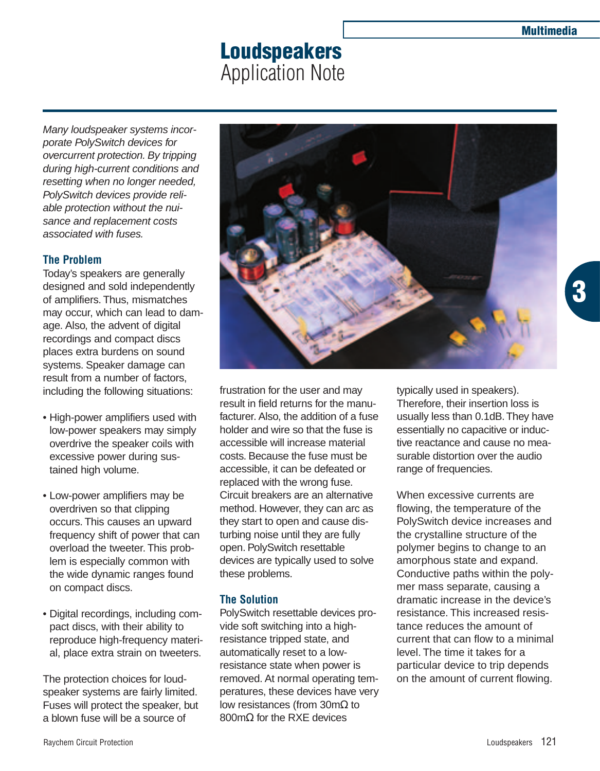# **Loudspeakers** Application Note

Many loudspeaker systems incorporate PolySwitch devices for overcurrent protection. By tripping during high-current conditions and resetting when no longer needed, PolySwitch devices provide reliable protection without the nuisance and replacement costs associated with fuses.

# **The Problem**

Today's speakers are generally designed and sold independently of amplifiers. Thus, mismatches may occur, which can lead to damage. Also, the advent of digital recordings and compact discs places extra burdens on sound systems. Speaker damage can result from a number of factors, including the following situations:

- High-power amplifiers used with low-power speakers may simply overdrive the speaker coils with excessive power during sustained high volume.
- Low-power amplifiers may be overdriven so that clipping occurs. This causes an upward frequency shift of power that can overload the tweeter. This problem is especially common with the wide dynamic ranges found on compact discs.
- Digital recordings, including compact discs, with their ability to reproduce high-frequency material, place extra strain on tweeters.

The protection choices for loudspeaker systems are fairly limited. Fuses will protect the speaker, but a blown fuse will be a source of



frustration for the user and may result in field returns for the manufacturer. Also, the addition of a fuse holder and wire so that the fuse is accessible will increase material costs. Because the fuse must be accessible, it can be defeated or replaced with the wrong fuse. Circuit breakers are an alternative method. However, they can arc as they start to open and cause disturbing noise until they are fully open. PolySwitch resettable devices are typically used to solve these problems.

## **The Solution**

PolySwitch resettable devices provide soft switching into a highresistance tripped state, and automatically reset to a lowresistance state when power is removed. At normal operating temperatures, these devices have very low resistances (from 30mΩ to 800mΩ for the RXE devices

typically used in speakers). Therefore, their insertion loss is usually less than 0.1dB.They have essentially no capacitive or inductive reactance and cause no measurable distortion over the audio range of frequencies.

When excessive currents are flowing, the temperature of the PolySwitch device increases and the crystalline structure of the polymer begins to change to an amorphous state and expand. Conductive paths within the polymer mass separate, causing a dramatic increase in the device's resistance. This increased resistance reduces the amount of current that can flow to a minimal level. The time it takes for a particular device to trip depends on the amount of current flowing.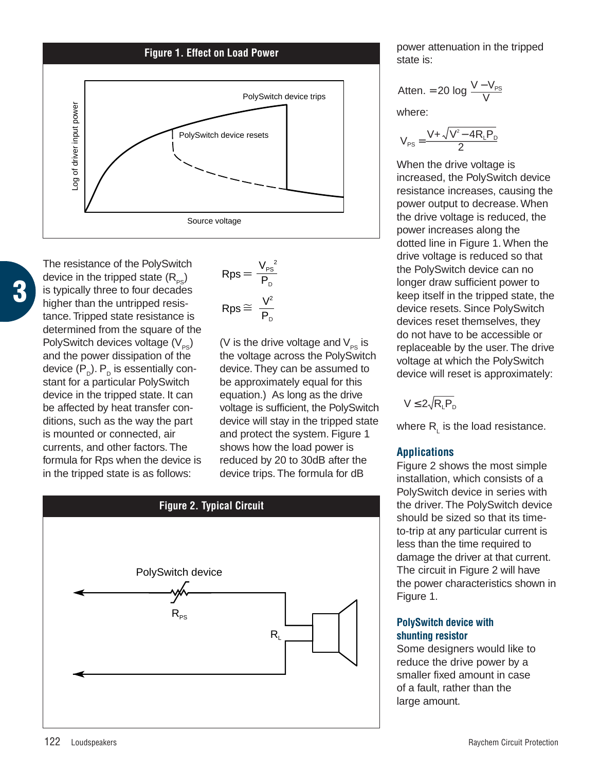

**3**

The resistance of the PolySwitch device in the tripped state  $(R_{\infty})$ is typically three to four decades higher than the untripped resistance. Tripped state resistance is determined from the square of the PolySwitch devices voltage  $(V_{ps})$ and the power dissipation of the device  $(P_p)$ .  $P_p$  is essentially constant for a particular PolySwitch device in the tripped state. It can be affected by heat transfer conditions, such as the way the part is mounted or connected, air currents, and other factors. The formula for Rps when the device is in the tripped state is as follows:

$$
Rps = \frac{V_{ps}^2}{P_D}
$$

$$
Rps \cong \frac{V^2}{P_D}
$$

(V is the drive voltage and  $V_{PS}$  is the voltage across the PolySwitch device. They can be assumed to be approximately equal for this equation.) As long as the drive voltage is sufficient, the PolySwitch device will stay in the tripped state and protect the system. Figure 1 shows how the load power is reduced by 20 to 30dB after the device trips. The formula for dB



power attenuation in the tripped state is:

$$
Atten. = 20 log \frac{V - V_{PS}}{V}
$$

where:

$$
V_{PS} = \frac{V + \sqrt{V^2 - 4R_L P_D}}{2}
$$

When the drive voltage is increased, the PolySwitch device resistance increases, causing the power output to decrease. When the drive voltage is reduced, the power increases along the dotted line in Figure 1. When the drive voltage is reduced so that the PolySwitch device can no longer draw sufficient power to keep itself in the tripped state, the device resets. Since PolySwitch devices reset themselves, they do not have to be accessible or replaceable by the user. The drive voltage at which the PolySwitch device will reset is approximately:

$$
V \leq 2\sqrt{R_{L}P_{D}}
$$

where  $R_i$  is the load resistance.

# **Applications**

Figure 2 shows the most simple installation, which consists of a PolySwitch device in series with the driver. The PolySwitch device should be sized so that its timeto-trip at any particular current is less than the time required to damage the driver at that current. The circuit in Figure 2 will have the power characteristics shown in Figure 1.

### **PolySwitch device with shunting resistor**

Some designers would like to reduce the drive power by a smaller fixed amount in case of a fault, rather than the large amount.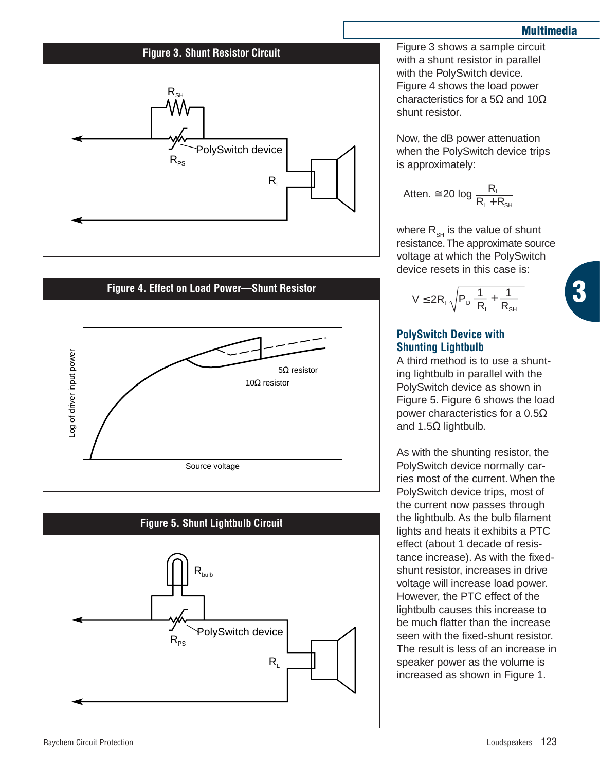### **Multimedia**

**3**

#### **Figure 3. Shunt Resistor Circuit**







Figure 3 shows a sample circuit with a shunt resistor in parallel with the PolySwitch device. Figure 4 shows the load power characteristics for a 5 $\Omega$  and 10 $\Omega$ shunt resistor.

Now, the dB power attenuation when the PolySwitch device trips is approximately:

$$
Atten. \cong 20~log~\frac{R_{\text{L}}}{R_{\text{L}}+R_{\text{SH}}}
$$

where  $R_{\rm SH}$  is the value of shunt resistance.The approximate source voltage at which the PolySwitch device resets in this case is:

$$
V \leq 2R_{_L}\sqrt{P_{_D}\!\big\langle\!\frac{1}{R_{_L}}\!+\frac{1}{R_{_{SH}}}\big\rangle}
$$

## **PolySwitch Device with Shunting Lightbulb**

A third method is to use a shunting lightbulb in parallel with the PolySwitch device as shown in Figure 5. Figure 6 shows the load power characteristics for a  $0.5Ω$ and 1.5Ω lightbulb.

As with the shunting resistor, the PolySwitch device normally carries most of the current. When the PolySwitch device trips, most of the current now passes through the lightbulb. As the bulb filament lights and heats it exhibits a PTC effect (about 1 decade of resistance increase). As with the fixedshunt resistor, increases in drive voltage will increase load power. However, the PTC effect of the lightbulb causes this increase to be much flatter than the increase seen with the fixed-shunt resistor. The result is less of an increase in speaker power as the volume is increased as shown in Figure 1.